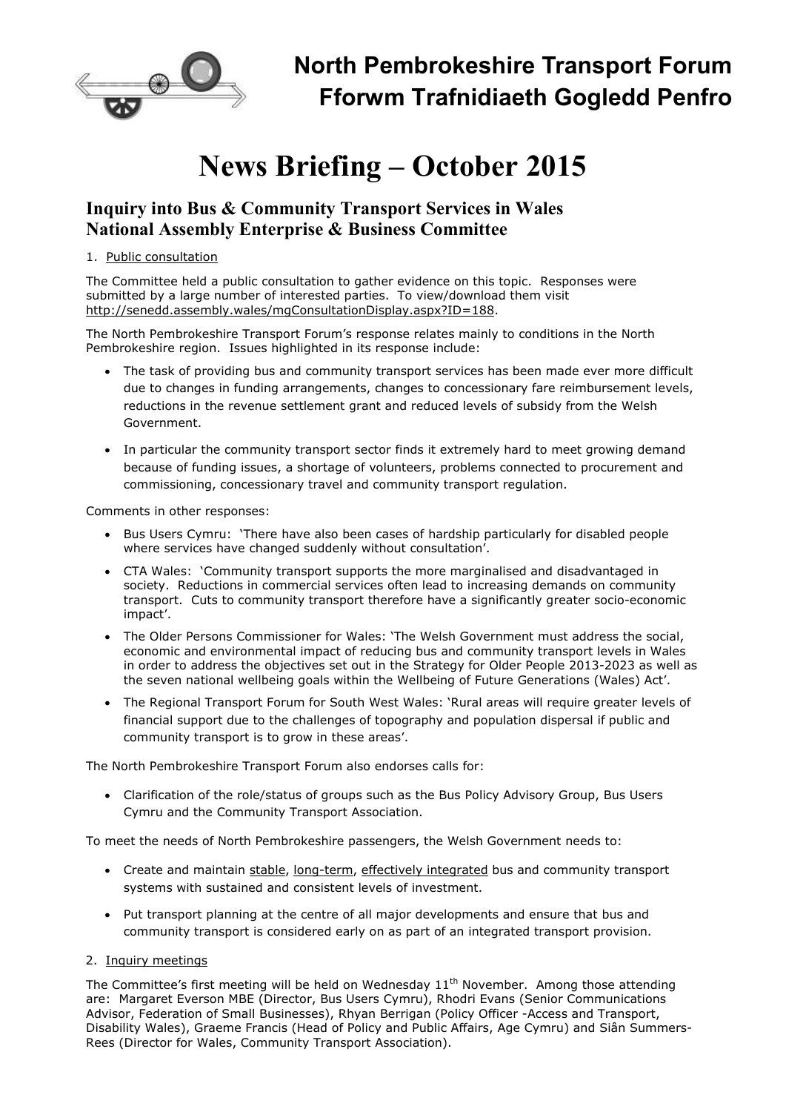

# **News Briefing – October 2015**

# **Inquiry into Bus & Community Transport Services in Wales National Assembly Enterprise & Business Committee**

## 1. Public consultation

The Committee held a public consultation to gather evidence on this topic. Responses were submitted by a large number of interested parties. To view/download them visit http://senedd.assembly.wales/mgConsultationDisplay.aspx?ID=188.

The North Pembrokeshire Transport Forum's response relates mainly to conditions in the North Pembrokeshire region. Issues highlighted in its response include:

- The task of providing bus and community transport services has been made ever more difficult due to changes in funding arrangements, changes to concessionary fare reimbursement levels, reductions in the revenue settlement grant and reduced levels of subsidy from the Welsh Government.
- In particular the community transport sector finds it extremely hard to meet growing demand because of funding issues, a shortage of volunteers, problems connected to procurement and commissioning, concessionary travel and community transport regulation.

Comments in other responses:

- Bus Users Cymru: 'There have also been cases of hardship particularly for disabled people where services have changed suddenly without consultation'.
- CTA Wales: 'Community transport supports the more marginalised and disadvantaged in society. Reductions in commercial services often lead to increasing demands on community transport. Cuts to community transport therefore have a significantly greater socio-economic impact'.
- The Older Persons Commissioner for Wales: 'The Welsh Government must address the social, economic and environmental impact of reducing bus and community transport levels in Wales in order to address the objectives set out in the Strategy for Older People 2013-2023 as well as the seven national wellbeing goals within the Wellbeing of Future Generations (Wales) Act'.
- The Regional Transport Forum for South West Wales: 'Rural areas will require greater levels of financial support due to the challenges of topography and population dispersal if public and community transport is to grow in these areas'.

The North Pembrokeshire Transport Forum also endorses calls for:

• Clarification of the role/status of groups such as the Bus Policy Advisory Group, Bus Users Cymru and the Community Transport Association.

To meet the needs of North Pembrokeshire passengers, the Welsh Government needs to:

- Create and maintain stable, long-term, effectively integrated bus and community transport systems with sustained and consistent levels of investment.
- Put transport planning at the centre of all major developments and ensure that bus and community transport is considered early on as part of an integrated transport provision.

## 2. Inquiry meetings

The Committee's first meeting will be held on Wednesday  $11<sup>th</sup>$  November. Among those attending are: Margaret Everson MBE (Director, Bus Users Cymru), Rhodri Evans (Senior Communications Advisor, Federation of Small Businesses), Rhyan Berrigan (Policy Officer -Access and Transport, Disability Wales), Graeme Francis (Head of Policy and Public Affairs, Age Cymru) and Siân Summers-Rees (Director for Wales, Community Transport Association).